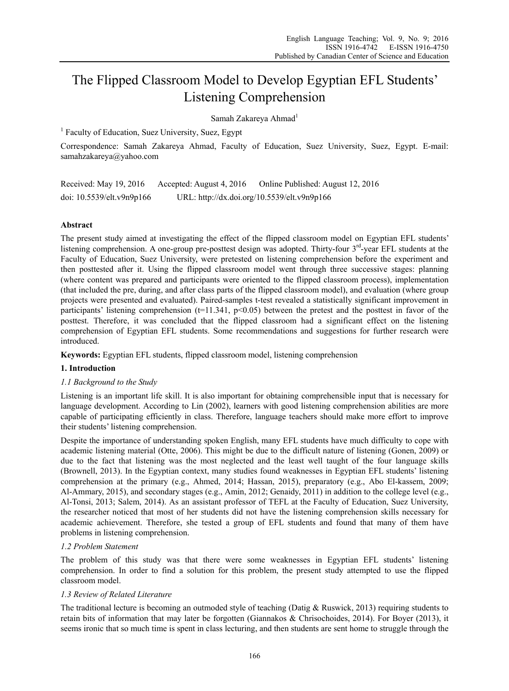# The Flipped Classroom Model to Develop Egyptian EFL Students' Listening Comprehension

Samah Zakareya Ahmad<sup>1</sup>

<sup>1</sup> Faculty of Education, Suez University, Suez, Egypt

Correspondence: Samah Zakareya Ahmad, Faculty of Education, Suez University, Suez, Egypt. E-mail: samahzakareya@yahoo.com

Received: May 19, 2016 Accepted: August 4, 2016 Online Published: August 12, 2016 doi: 10.5539/elt.v9n9p166 URL: http://dx.doi.org/10.5539/elt.v9n9p166

# **Abstract**

The present study aimed at investigating the effect of the flipped classroom model on Egyptian EFL students' listening comprehension. A one-group pre-posttest design was adopted. Thirty-four 3<sup>rd</sup>-year EFL students at the Faculty of Education, Suez University, were pretested on listening comprehension before the experiment and then posttested after it. Using the flipped classroom model went through three successive stages: planning (where content was prepared and participants were oriented to the flipped classroom process), implementation (that included the pre, during, and after class parts of the flipped classroom model), and evaluation (where group projects were presented and evaluated). Paired-samples t-test revealed a statistically significant improvement in participants' listening comprehension ( $t=11.341$ ,  $p<0.05$ ) between the pretest and the posttest in favor of the posttest. Therefore, it was concluded that the flipped classroom had a significant effect on the listening comprehension of Egyptian EFL students. Some recommendations and suggestions for further research were introduced.

**Keywords:** Egyptian EFL students, flipped classroom model, listening comprehension

## **1. Introduction**

## *1.1 Background to the Study*

Listening is an important life skill. It is also important for obtaining comprehensible input that is necessary for language development. According to Lin (2002), learners with good listening comprehension abilities are more capable of participating efficiently in class. Therefore, language teachers should make more effort to improve their students' listening comprehension.

Despite the importance of understanding spoken English, many EFL students have much difficulty to cope with academic listening material (Otte, 2006). This might be due to the difficult nature of listening (Gonen, 2009) or due to the fact that listening was the most neglected and the least well taught of the four language skills (Brownell, 2013). In the Egyptian context, many studies found weaknesses in Egyptian EFL students' listening comprehension at the primary (e.g., Ahmed, 2014; Hassan, 2015), preparatory (e.g., Abo El-kassem, 2009; Al-Ammary, 2015), and secondary stages (e.g., Amin, 2012; Genaidy, 2011) in addition to the college level (e.g., Al-Tonsi, 2013; Salem, 2014). As an assistant professor of TEFL at the Faculty of Education, Suez University, the researcher noticed that most of her students did not have the listening comprehension skills necessary for academic achievement. Therefore, she tested a group of EFL students and found that many of them have problems in listening comprehension.

## *1.2 Problem Statement*

The problem of this study was that there were some weaknesses in Egyptian EFL students' listening comprehension. In order to find a solution for this problem, the present study attempted to use the flipped classroom model.

## *1.3 Review of Related Literature*

The traditional lecture is becoming an outmoded style of teaching (Datig & Ruswick, 2013) requiring students to retain bits of information that may later be forgotten (Giannakos & Chrisochoides, 2014). For Boyer (2013), it seems ironic that so much time is spent in class lecturing, and then students are sent home to struggle through the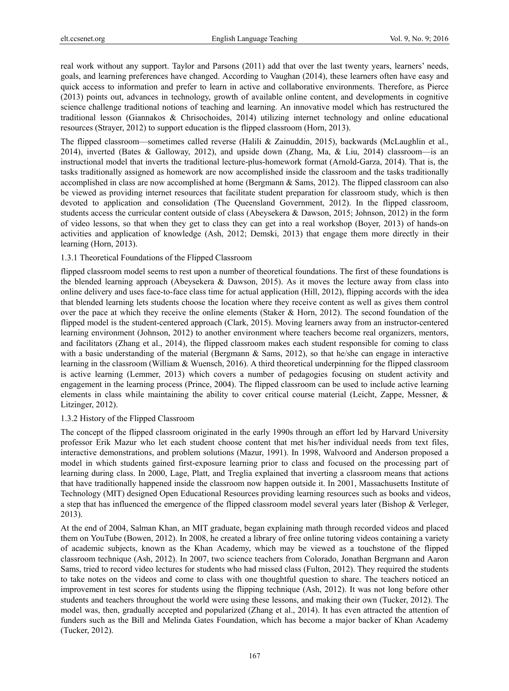real work without any support. Taylor and Parsons (2011) add that over the last twenty years, learners' needs, goals, and learning preferences have changed. According to Vaughan (2014), these learners often have easy and quick access to information and prefer to learn in active and collaborative environments. Therefore, as Pierce (2013) points out, advances in technology, growth of available online content, and developments in cognitive science challenge traditional notions of teaching and learning. An innovative model which has restructured the traditional lesson (Giannakos & Chrisochoides, 2014) utilizing internet technology and online educational resources (Strayer, 2012) to support education is the flipped classroom (Horn, 2013).

The flipped classroom—sometimes called reverse (Halili & Zainuddin, 2015), backwards (McLaughlin et al., 2014), inverted (Bates & Galloway, 2012), and upside down (Zhang, Ma, & Liu, 2014) classroom—is an instructional model that inverts the traditional lecture-plus-homework format (Arnold-Garza, 2014). That is, the tasks traditionally assigned as homework are now accomplished inside the classroom and the tasks traditionally accomplished in class are now accomplished at home (Bergmann & Sams, 2012). The flipped classroom can also be viewed as providing internet resources that facilitate student preparation for classroom study, which is then devoted to application and consolidation (The Queensland Government, 2012). In the flipped classroom, students access the curricular content outside of class (Abeysekera & Dawson, 2015; Johnson, 2012) in the form of video lessons, so that when they get to class they can get into a real workshop (Boyer, 2013) of hands-on activities and application of knowledge (Ash, 2012; Demski, 2013) that engage them more directly in their learning (Horn, 2013).

## 1.3.1 Theoretical Foundations of the Flipped Classroom

flipped classroom model seems to rest upon a number of theoretical foundations. The first of these foundations is the blended learning approach (Abeysekera & Dawson, 2015). As it moves the lecture away from class into online delivery and uses face-to-face class time for actual application (Hill, 2012), flipping accords with the idea that blended learning lets students choose the location where they receive content as well as gives them control over the pace at which they receive the online elements (Staker & Horn, 2012). The second foundation of the flipped model is the student-centered approach (Clark, 2015). Moving learners away from an instructor-centered learning environment (Johnson, 2012) to another environment where teachers become real organizers, mentors, and facilitators (Zhang et al., 2014), the flipped classroom makes each student responsible for coming to class with a basic understanding of the material (Bergmann & Sams, 2012), so that he/she can engage in interactive learning in the classroom (William & Wuensch, 2016). A third theoretical underpinning for the flipped classroom is active learning (Lemmer, 2013) which covers a number of pedagogies focusing on student activity and engagement in the learning process (Prince, 2004). The flipped classroom can be used to include active learning elements in class while maintaining the ability to cover critical course material (Leicht, Zappe, Messner, & Litzinger, 2012).

## 1.3.2 History of the Flipped Classroom

The concept of the flipped classroom originated in the early 1990s through an effort led by Harvard University professor Erik Mazur who let each student choose content that met his/her individual needs from text files, interactive demonstrations, and problem solutions (Mazur, 1991). In 1998, Walvoord and Anderson proposed a model in which students gained first-exposure learning prior to class and focused on the processing part of learning during class. In 2000, Lage, Platt, and Treglia explained that inverting a classroom means that actions that have traditionally happened inside the classroom now happen outside it. In 2001, Massachusetts Institute of Technology (MIT) designed Open Educational Resources providing learning resources such as books and videos, a step that has influenced the emergence of the flipped classroom model several years later (Bishop & Verleger, 2013).

At the end of 2004, Salman Khan, an MIT graduate, began explaining math through recorded videos and placed them on YouTube (Bowen, 2012). In 2008, he created a library of free online tutoring videos containing a variety of academic subjects, known as the Khan Academy, which may be viewed as a touchstone of the flipped classroom technique (Ash, 2012). In 2007, two science teachers from Colorado, Jonathan Bergmann and Aaron Sams, tried to record video lectures for students who had missed class (Fulton, 2012). They required the students to take notes on the videos and come to class with one thoughtful question to share. The teachers noticed an improvement in test scores for students using the flipping technique (Ash, 2012). It was not long before other students and teachers throughout the world were using these lessons, and making their own (Tucker, 2012). The model was, then, gradually accepted and popularized (Zhang et al., 2014). It has even attracted the attention of funders such as the Bill and Melinda Gates Foundation, which has become a major backer of Khan Academy (Tucker, 2012).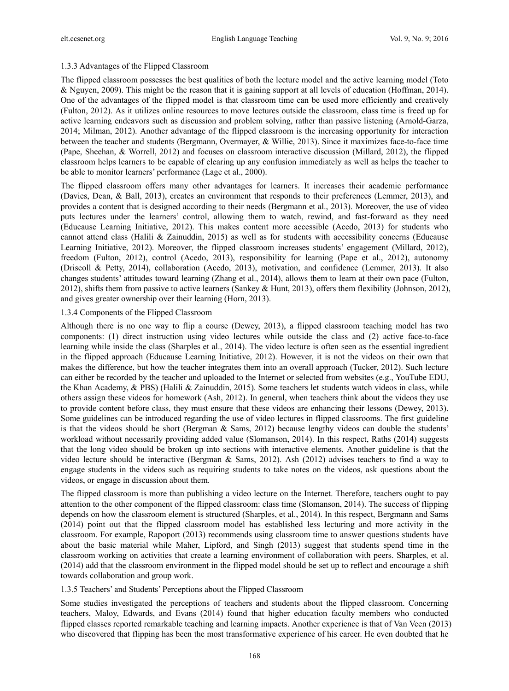## 1.3.3 Advantages of the Flipped Classroom

The flipped classroom possesses the best qualities of both the lecture model and the active learning model (Toto & Nguyen, 2009). This might be the reason that it is gaining support at all levels of education (Hoffman, 2014). One of the advantages of the flipped model is that classroom time can be used more efficiently and creatively (Fulton, 2012). As it utilizes online resources to move lectures outside the classroom, class time is freed up for active learning endeavors such as discussion and problem solving, rather than passive listening (Arnold-Garza, 2014; Milman, 2012). Another advantage of the flipped classroom is the increasing opportunity for interaction between the teacher and students (Bergmann, Overmayer, & Willie, 2013). Since it maximizes face-to-face time (Pape, Sheehan, & Worrell, 2012) and focuses on classroom interactive discussion (Millard, 2012), the flipped classroom helps learners to be capable of clearing up any confusion immediately as well as helps the teacher to be able to monitor learners' performance (Lage et al., 2000).

The flipped classroom offers many other advantages for learners. It increases their academic performance (Davies, Dean, & Ball, 2013), creates an environment that responds to their preferences (Lemmer, 2013), and provides a content that is designed according to their needs (Bergmann et al., 2013). Moreover, the use of video puts lectures under the learners' control, allowing them to watch, rewind, and fast-forward as they need (Educause Learning Initiative, 2012). This makes content more accessible (Acedo, 2013) for students who cannot attend class (Halili & Zainuddin, 2015) as well as for students with accessibility concerns (Educause Learning Initiative, 2012). Moreover, the flipped classroom increases students' engagement (Millard, 2012), freedom (Fulton, 2012), control (Acedo, 2013), responsibility for learning (Pape et al., 2012), autonomy (Driscoll & Petty, 2014), collaboration (Acedo, 2013), motivation, and confidence (Lemmer, 2013). It also changes students' attitudes toward learning (Zhang et al., 2014), allows them to learn at their own pace (Fulton, 2012), shifts them from passive to active learners (Sankey & Hunt, 2013), offers them flexibility (Johnson, 2012), and gives greater ownership over their learning (Horn, 2013).

#### 1.3.4 Components of the Flipped Classroom

Although there is no one way to flip a course (Dewey, 2013), a flipped classroom teaching model has two components: (1) direct instruction using video lectures while outside the class and (2) active face-to-face learning while inside the class (Sharples et al., 2014). The video lecture is often seen as the essential ingredient in the flipped approach (Educause Learning Initiative, 2012). However, it is not the videos on their own that makes the difference, but how the teacher integrates them into an overall approach (Tucker, 2012). Such lecture can either be recorded by the teacher and uploaded to the Internet or selected from websites (e.g., YouTube EDU, the Khan Academy, & PBS) (Halili & Zainuddin, 2015). Some teachers let students watch videos in class, while others assign these videos for homework (Ash, 2012). In general, when teachers think about the videos they use to provide content before class, they must ensure that these videos are enhancing their lessons (Dewey, 2013). Some guidelines can be introduced regarding the use of video lectures in flipped classrooms. The first guideline is that the videos should be short (Bergman  $\&$  Sams, 2012) because lengthy videos can double the students' workload without necessarily providing added value (Slomanson, 2014). In this respect, Raths (2014) suggests that the long video should be broken up into sections with interactive elements. Another guideline is that the video lecture should be interactive (Bergman & Sams, 2012). Ash (2012) advises teachers to find a way to engage students in the videos such as requiring students to take notes on the videos, ask questions about the videos, or engage in discussion about them.

The flipped classroom is more than publishing a video lecture on the Internet. Therefore, teachers ought to pay attention to the other component of the flipped classroom: class time (Slomanson, 2014). The success of flipping depends on how the classroom element is structured (Sharples, et al., 2014). In this respect, Bergmann and Sams (2014) point out that the flipped classroom model has established less lecturing and more activity in the classroom. For example, Rapoport (2013) recommends using classroom time to answer questions students have about the basic material while Maher, Lipford, and Singh (2013) suggest that students spend time in the classroom working on activities that create a learning environment of collaboration with peers. Sharples, et al. (2014) add that the classroom environment in the flipped model should be set up to reflect and encourage a shift towards collaboration and group work.

1.3.5 Teachers' and Students' Perceptions about the Flipped Classroom

Some studies investigated the perceptions of teachers and students about the flipped classroom. Concerning teachers, Maloy, Edwards, and Evans (2014) found that higher education faculty members who conducted flipped classes reported remarkable teaching and learning impacts. Another experience is that of Van Veen (2013) who discovered that flipping has been the most transformative experience of his career. He even doubted that he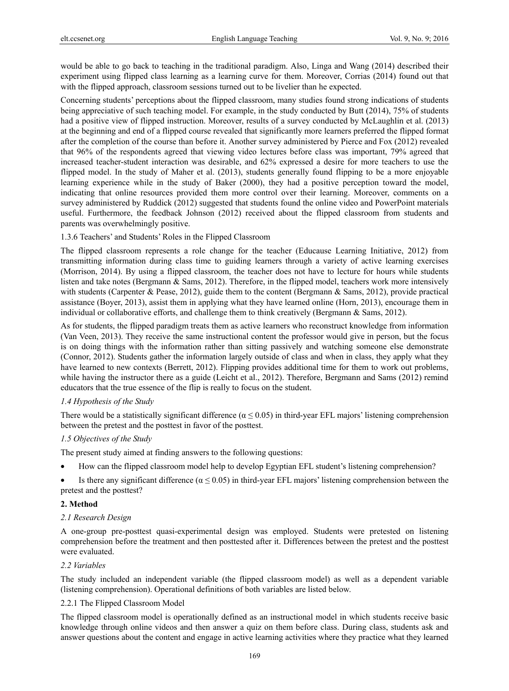would be able to go back to teaching in the traditional paradigm. Also, Linga and Wang (2014) described their experiment using flipped class learning as a learning curve for them. Moreover, Corrias (2014) found out that with the flipped approach, classroom sessions turned out to be livelier than he expected.

Concerning students' perceptions about the flipped classroom, many studies found strong indications of students being appreciative of such teaching model. For example, in the study conducted by Butt (2014), 75% of students had a positive view of flipped instruction. Moreover, results of a survey conducted by McLaughlin et al. (2013) at the beginning and end of a flipped course revealed that significantly more learners preferred the flipped format after the completion of the course than before it. Another survey administered by Pierce and Fox (2012) revealed that 96% of the respondents agreed that viewing video lectures before class was important, 79% agreed that increased teacher-student interaction was desirable, and 62% expressed a desire for more teachers to use the flipped model. In the study of Maher et al. (2013), students generally found flipping to be a more enjoyable learning experience while in the study of Baker (2000), they had a positive perception toward the model, indicating that online resources provided them more control over their learning. Moreover, comments on a survey administered by Ruddick (2012) suggested that students found the online video and PowerPoint materials useful. Furthermore, the feedback Johnson (2012) received about the flipped classroom from students and parents was overwhelmingly positive.

1.3.6 Teachers' and Students' Roles in the Flipped Classroom

The flipped classroom represents a role change for the teacher (Educause Learning Initiative, 2012) from transmitting information during class time to guiding learners through a variety of active learning exercises (Morrison, 2014). By using a flipped classroom, the teacher does not have to lecture for hours while students listen and take notes (Bergmann & Sams, 2012). Therefore, in the flipped model, teachers work more intensively with students (Carpenter & Pease, 2012), guide them to the content (Bergmann & Sams, 2012), provide practical assistance (Boyer, 2013), assist them in applying what they have learned online (Horn, 2013), encourage them in individual or collaborative efforts, and challenge them to think creatively (Bergmann & Sams, 2012).

As for students, the flipped paradigm treats them as active learners who reconstruct knowledge from information (Van Veen, 2013). They receive the same instructional content the professor would give in person, but the focus is on doing things with the information rather than sitting passively and watching someone else demonstrate (Connor, 2012). Students gather the information largely outside of class and when in class, they apply what they have learned to new contexts (Berrett, 2012). Flipping provides additional time for them to work out problems, while having the instructor there as a guide (Leicht et al., 2012). Therefore, Bergmann and Sams (2012) remind educators that the true essence of the flip is really to focus on the student.

# *1.4 Hypothesis of the Study*

There would be a statistically significant difference ( $\alpha \le 0.05$ ) in third-year EFL majors' listening comprehension between the pretest and the posttest in favor of the posttest.

# *1.5 Objectives of the Study*

The present study aimed at finding answers to the following questions:

- How can the flipped classroom model help to develop Egyptian EFL student's listening comprehension?
- Is there any significant difference ( $\alpha \le 0.05$ ) in third-year EFL majors' listening comprehension between the pretest and the posttest?

## **2. Method**

## *2.1 Research Design*

A one-group pre-posttest quasi-experimental design was employed. Students were pretested on listening comprehension before the treatment and then posttested after it. Differences between the pretest and the posttest were evaluated.

## *2.2 Variables*

The study included an independent variable (the flipped classroom model) as well as a dependent variable (listening comprehension). Operational definitions of both variables are listed below.

## 2.2.1 The Flipped Classroom Model

The flipped classroom model is operationally defined as an instructional model in which students receive basic knowledge through online videos and then answer a quiz on them before class. During class, students ask and answer questions about the content and engage in active learning activities where they practice what they learned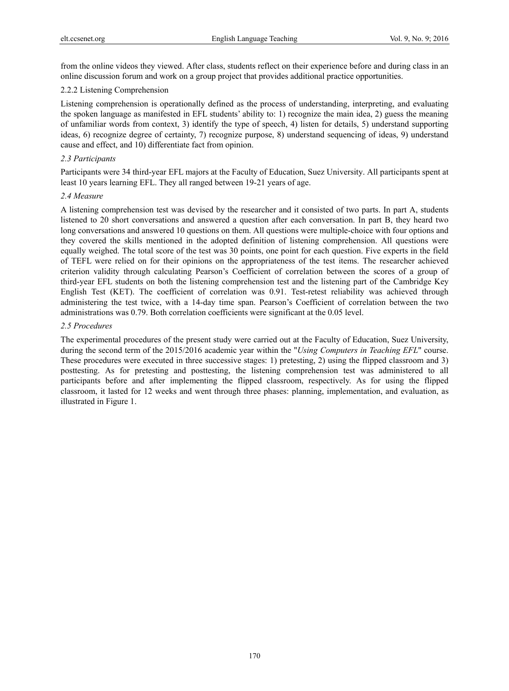from the online videos they viewed. After class, students reflect on their experience before and during class in an online discussion forum and work on a group project that provides additional practice opportunities.

## 2.2.2 Listening Comprehension

Listening comprehension is operationally defined as the process of understanding, interpreting, and evaluating the spoken language as manifested in EFL students' ability to: 1) recognize the main idea, 2) guess the meaning of unfamiliar words from context, 3) identify the type of speech, 4) listen for details, 5) understand supporting ideas, 6) recognize degree of certainty, 7) recognize purpose, 8) understand sequencing of ideas, 9) understand cause and effect, and 10) differentiate fact from opinion.

#### *2.3 Participants*

Participants were 34 third-year EFL majors at the Faculty of Education, Suez University. All participants spent at least 10 years learning EFL. They all ranged between 19-21 years of age.

#### *2.4 Measure*

A listening comprehension test was devised by the researcher and it consisted of two parts. In part A, students listened to 20 short conversations and answered a question after each conversation. In part B, they heard two long conversations and answered 10 questions on them. All questions were multiple-choice with four options and they covered the skills mentioned in the adopted definition of listening comprehension. All questions were equally weighed. The total score of the test was 30 points, one point for each question. Five experts in the field of TEFL were relied on for their opinions on the appropriateness of the test items. The researcher achieved criterion validity through calculating Pearson's Coefficient of correlation between the scores of a group of third-year EFL students on both the listening comprehension test and the listening part of the Cambridge Key English Test (KET). The coefficient of correlation was 0.91. Test-retest reliability was achieved through administering the test twice, with a 14-day time span. Pearson's Coefficient of correlation between the two administrations was 0.79. Both correlation coefficients were significant at the 0.05 level.

#### *2.5 Procedures*

The experimental procedures of the present study were carried out at the Faculty of Education, Suez University, during the second term of the 2015/2016 academic year within the "*Using Computers in Teaching EFL*" course. These procedures were executed in three successive stages: 1) pretesting, 2) using the flipped classroom and 3) posttesting. As for pretesting and posttesting, the listening comprehension test was administered to all participants before and after implementing the flipped classroom, respectively. As for using the flipped classroom, it lasted for 12 weeks and went through three phases: planning, implementation, and evaluation, as illustrated in Figure 1.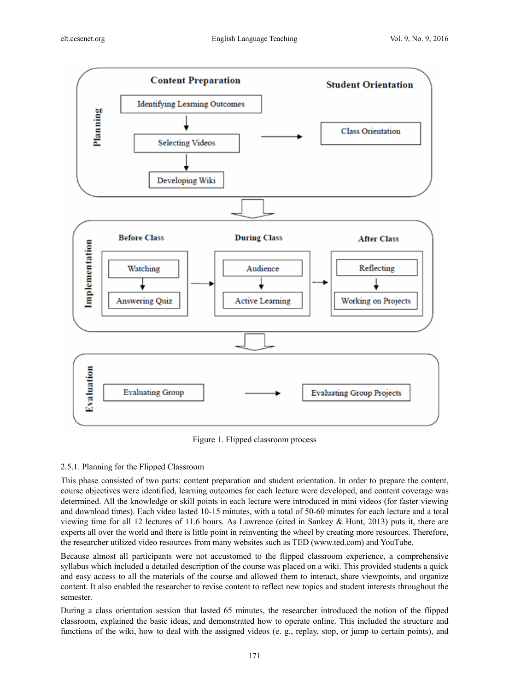

Figure 1. Flipped classroom process

# 2.5.1. Planning for the Flipped Classroom

This phase consisted of two parts: content preparation and student orientation. In order to prepare the content, course objectives were identified, learning outcomes for each lecture were developed, and content coverage was determined. All the knowledge or skill points in each lecture were introduced in mini videos (for faster viewing and download times). Each video lasted 10-15 minutes, with a total of 50-60 minutes for each lecture and a total viewing time for all 12 lectures of 11.6 hours. As Lawrence (cited in Sankey & Hunt, 2013) puts it, there are experts all over the world and there is little point in reinventing the wheel by creating more resources. Therefore, the researcher utilized video resources from many websites such as TED (www.ted.com) and YouTube.

Because almost all participants were not accustomed to the flipped classroom experience, a comprehensive syllabus which included a detailed description of the course was placed on a wiki. This provided students a quick and easy access to all the materials of the course and allowed them to interact, share viewpoints, and organize content. It also enabled the researcher to revise content to reflect new topics and student interests throughout the semester.

During a class orientation session that lasted 65 minutes, the researcher introduced the notion of the flipped classroom, explained the basic ideas, and demonstrated how to operate online. This included the structure and functions of the wiki, how to deal with the assigned videos (e. g., replay, stop, or jump to certain points), and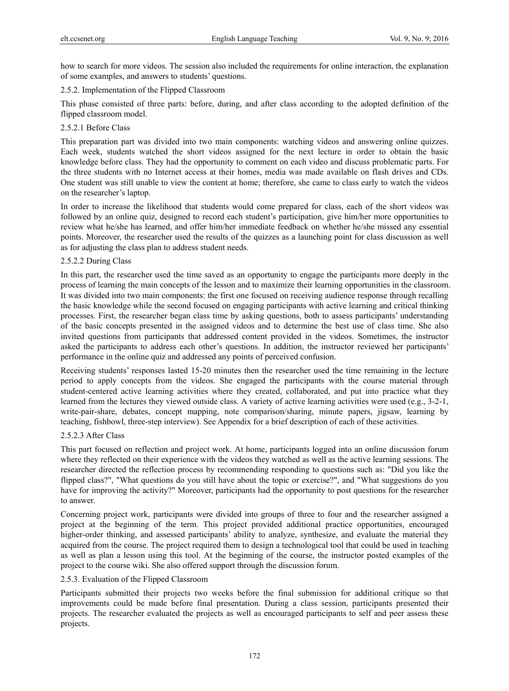how to search for more videos. The session also included the requirements for online interaction, the explanation of some examples, and answers to students' questions.

## 2.5.2. Implementation of the Flipped Classroom

This phase consisted of three parts: before, during, and after class according to the adopted definition of the flipped classroom model.

## 2.5.2.1 Before Class

This preparation part was divided into two main components: watching videos and answering online quizzes. Each week, students watched the short videos assigned for the next lecture in order to obtain the basic knowledge before class. They had the opportunity to comment on each video and discuss problematic parts. For the three students with no Internet access at their homes, media was made available on flash drives and CDs. One student was still unable to view the content at home; therefore, she came to class early to watch the videos on the researcher's laptop.

In order to increase the likelihood that students would come prepared for class, each of the short videos was followed by an online quiz, designed to record each student's participation, give him/her more opportunities to review what he/she has learned, and offer him/her immediate feedback on whether he/she missed any essential points. Moreover, the researcher used the results of the quizzes as a launching point for class discussion as well as for adjusting the class plan to address student needs.

## 2.5.2.2 During Class

In this part, the researcher used the time saved as an opportunity to engage the participants more deeply in the process of learning the main concepts of the lesson and to maximize their learning opportunities in the classroom. It was divided into two main components: the first one focused on receiving audience response through recalling the basic knowledge while the second focused on engaging participants with active learning and critical thinking processes. First, the researcher began class time by asking questions, both to assess participants' understanding of the basic concepts presented in the assigned videos and to determine the best use of class time. She also invited questions from participants that addressed content provided in the videos. Sometimes, the instructor asked the participants to address each other's questions. In addition, the instructor reviewed her participants' performance in the online quiz and addressed any points of perceived confusion.

Receiving students' responses lasted 15-20 minutes then the researcher used the time remaining in the lecture period to apply concepts from the videos. She engaged the participants with the course material through student-centered active learning activities where they created, collaborated, and put into practice what they learned from the lectures they viewed outside class. A variety of active learning activities were used (e.g., 3-2-1, write-pair-share, debates, concept mapping, note comparison/sharing, minute papers, jigsaw, learning by teaching, fishbowl, three-step interview). See Appendix for a brief description of each of these activities.

## 2.5.2.3 After Class

This part focused on reflection and project work. At home, participants logged into an online discussion forum where they reflected on their experience with the videos they watched as well as the active learning sessions. The researcher directed the reflection process by recommending responding to questions such as: "Did you like the flipped class?", "What questions do you still have about the topic or exercise?", and "What suggestions do you have for improving the activity?" Moreover, participants had the opportunity to post questions for the researcher to answer.

Concerning project work, participants were divided into groups of three to four and the researcher assigned a project at the beginning of the term. This project provided additional practice opportunities, encouraged higher-order thinking, and assessed participants' ability to analyze, synthesize, and evaluate the material they acquired from the course. The project required them to design a technological tool that could be used in teaching as well as plan a lesson using this tool. At the beginning of the course, the instructor posted examples of the project to the course wiki. She also offered support through the discussion forum.

# 2.5.3. Evaluation of the Flipped Classroom

Participants submitted their projects two weeks before the final submission for additional critique so that improvements could be made before final presentation. During a class session, participants presented their projects. The researcher evaluated the projects as well as encouraged participants to self and peer assess these projects.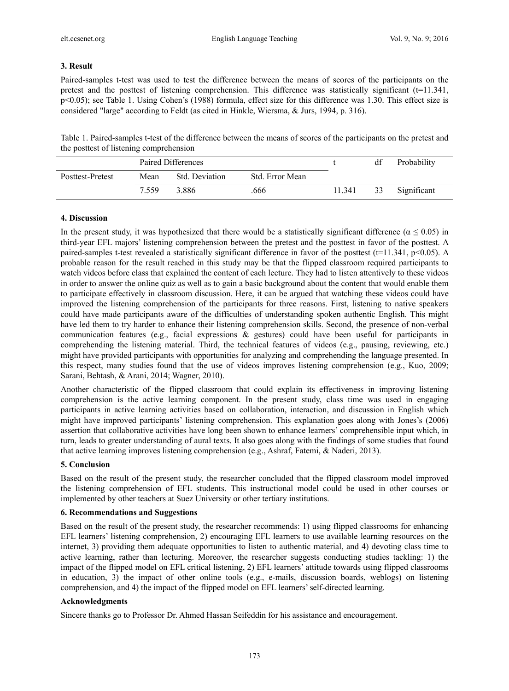## **3. Result**

Paired-samples t-test was used to test the difference between the means of scores of the participants on the pretest and the posttest of listening comprehension. This difference was statistically significant (t=11.341, p<0.05); see Table 1. Using Cohen's (1988) formula, effect size for this difference was 1.30. This effect size is considered "large" according to Feldt (as cited in Hinkle, Wiersma, & Jurs, 1994, p. 316).

Table 1. Paired-samples t-test of the difference between the means of scores of the participants on the pretest and the posttest of listening comprehension

|                  | Paired Differences |                |                 |        | df | Probability |
|------------------|--------------------|----------------|-----------------|--------|----|-------------|
| Posttest-Pretest | Mean               | Std. Deviation | Std. Error Mean |        |    |             |
|                  | 7.559              | 3.886          | .666            | 11.341 |    | Significant |

## **4. Discussion**

In the present study, it was hypothesized that there would be a statistically significant difference ( $\alpha \le 0.05$ ) in third-year EFL majors' listening comprehension between the pretest and the posttest in favor of the posttest. A paired-samples t-test revealed a statistically significant difference in favor of the posttest ( $t=11.341$ ,  $p<0.05$ ). A probable reason for the result reached in this study may be that the flipped classroom required participants to watch videos before class that explained the content of each lecture. They had to listen attentively to these videos in order to answer the online quiz as well as to gain a basic background about the content that would enable them to participate effectively in classroom discussion. Here, it can be argued that watching these videos could have improved the listening comprehension of the participants for three reasons. First, listening to native speakers could have made participants aware of the difficulties of understanding spoken authentic English. This might have led them to try harder to enhance their listening comprehension skills. Second, the presence of non-verbal communication features (e.g., facial expressions & gestures) could have been useful for participants in comprehending the listening material. Third, the technical features of videos (e.g., pausing, reviewing, etc.) might have provided participants with opportunities for analyzing and comprehending the language presented. In this respect, many studies found that the use of videos improves listening comprehension (e.g., Kuo, 2009; Sarani, Behtash, & Arani, 2014; Wagner, 2010).

Another characteristic of the flipped classroom that could explain its effectiveness in improving listening comprehension is the active learning component. In the present study, class time was used in engaging participants in active learning activities based on collaboration, interaction, and discussion in English which might have improved participants' listening comprehension. This explanation goes along with Jones's (2006) assertion that collaborative activities have long been shown to enhance learners' comprehensible input which, in turn, leads to greater understanding of aural texts. It also goes along with the findings of some studies that found that active learning improves listening comprehension (e.g., Ashraf, Fatemi, & Naderi, 2013).

## **5. Conclusion**

Based on the result of the present study, the researcher concluded that the flipped classroom model improved the listening comprehension of EFL students. This instructional model could be used in other courses or implemented by other teachers at Suez University or other tertiary institutions.

## **6. Recommendations and Suggestions**

Based on the result of the present study, the researcher recommends: 1) using flipped classrooms for enhancing EFL learners' listening comprehension, 2) encouraging EFL learners to use available learning resources on the internet, 3) providing them adequate opportunities to listen to authentic material, and 4) devoting class time to active learning, rather than lecturing. Moreover, the researcher suggests conducting studies tackling: 1) the impact of the flipped model on EFL critical listening, 2) EFL learners' attitude towards using flipped classrooms in education, 3) the impact of other online tools (e.g., e-mails, discussion boards, weblogs) on listening comprehension, and 4) the impact of the flipped model on EFL learners' self-directed learning.

## **Acknowledgments**

Sincere thanks go to Professor Dr. Ahmed Hassan Seifeddin for his assistance and encouragement.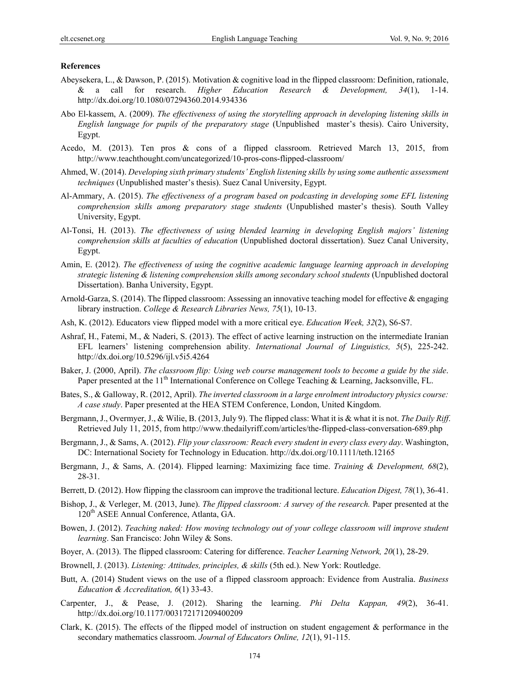#### **References**

- Abeysekera, L., & Dawson, P. (2015). Motivation & cognitive load in the flipped classroom: Definition, rationale, & a call for research. *Higher Education Research & Development, 34*(1), 1-14. http://dx.doi.org/10.1080/07294360.2014.934336
- Abo El-kassem, A. (2009). *The effectiveness of using the storytelling approach in developing listening skills in English language for pupils of the preparatory stage* (Unpublished master's thesis). Cairo University, Egypt.
- Acedo, M. (2013). Ten pros & cons of a flipped classroom. Retrieved March 13, 2015, from http://www.teachthought.com/uncategorized/10-pros-cons-flipped-classroom/
- Ahmed, W. (2014). *Developing sixth primary students' English listening skills by using some authentic assessment techniques* (Unpublished master's thesis). Suez Canal University, Egypt.
- Al-Ammary, A. (2015). *The effectiveness of a program based on podcasting in developing some EFL listening comprehension skills among preparatory stage students* (Unpublished master's thesis). South Valley University, Egypt.
- Al-Tonsi, H. (2013). *The effectiveness of using blended learning in developing English majors' listening comprehension skills at faculties of education* (Unpublished doctoral dissertation). Suez Canal University, Egypt.
- Amin, E. (2012). *The effectiveness of using the cognitive academic language learning approach in developing strategic listening & listening comprehension skills among secondary school students* (Unpublished doctoral Dissertation). Banha University, Egypt.
- Arnold-Garza, S. (2014). The flipped classroom: Assessing an innovative teaching model for effective & engaging library instruction. *College & Research Libraries News, 75*(1), 10-13.
- Ash, K. (2012). Educators view flipped model with a more critical eye. *Education Week, 32*(2), S6-S7.
- Ashraf, H., Fatemi, M., & Naderi, S. (2013). The effect of active learning instruction on the intermediate Iranian EFL learners' listening comprehension ability. *International Journal of Linguistics, 5*(5), 225-242. http://dx.doi.org/10.5296/ijl.v5i5.4264
- Baker, J. (2000, April). *The classroom flip: Using web course management tools to become a guide by the side*. Paper presented at the  $11<sup>th</sup>$  International Conference on College Teaching & Learning, Jacksonville, FL.
- Bates, S., & Galloway, R. (2012, April). *The inverted classroom in a large enrolment introductory physics course: A case study*. Paper presented at the HEA STEM Conference, London, United Kingdom.
- Bergmann, J., Overmyer, J., & Wilie, B. (2013, July 9). The flipped class: What it is & what it is not. *The Daily Riff*. Retrieved July 11, 2015, from http://www.thedailyriff.com/articles/the-flipped-class-conversation-689.php
- Bergmann, J., & Sams, A. (2012). *Flip your classroom: Reach every student in every class every day*. Washington, DC: International Society for Technology in Education. http://dx.doi.org/10.1111/teth.12165
- Bergmann, J., & Sams, A. (2014). Flipped learning: Maximizing face time. *Training & Development, 68*(2), 28-31.
- Berrett, D. (2012). How flipping the classroom can improve the traditional lecture. *Education Digest, 78*(1), 36-41.
- Bishop, J., & Verleger, M. (2013, June). *The flipped classroom: A survey of the research.* Paper presented at the 120<sup>th</sup> ASEE Annual Conference, Atlanta, GA.
- Bowen, J. (2012). *Teaching naked: How moving technology out of your college classroom will improve student learning*. San Francisco: John Wiley & Sons.
- Boyer, A. (2013). The flipped classroom: Catering for difference. *Teacher Learning Network, 20*(1), 28-29.
- Brownell, J. (2013). *Listening: Attitudes, principles, & skills* (5th ed.). New York: Routledge.
- Butt, A. (2014) Student views on the use of a flipped classroom approach: Evidence from Australia. *Business Education & Accreditation, 6*(1) 33-43.
- Carpenter, J., & Pease, J. (2012). Sharing the learning. *Phi Delta Kappan, 49*(2), 36-41. http://dx.doi.org/10.1177/003172171209400209
- Clark, K. (2015). The effects of the flipped model of instruction on student engagement & performance in the secondary mathematics classroom. *Journal of Educators Online, 12*(1), 91-115.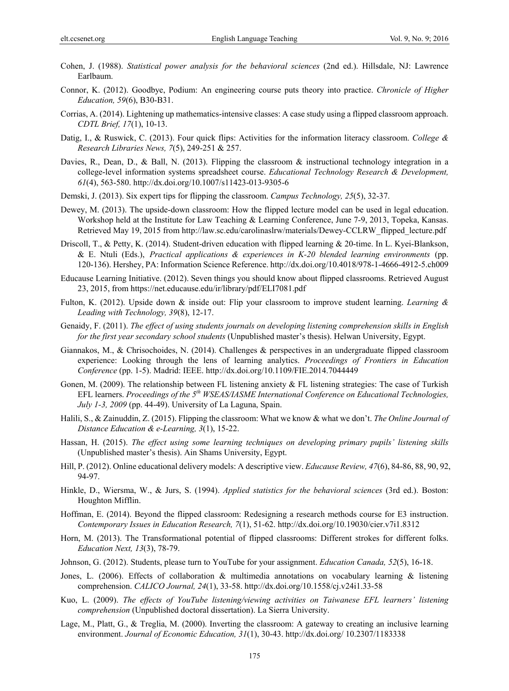- Cohen, J. (1988). *Statistical power analysis for the behavioral sciences* (2nd ed.). Hillsdale, NJ: Lawrence Earlbaum.
- Connor, K. (2012). Goodbye, Podium: An engineering course puts theory into practice. *Chronicle of Higher Education, 59*(6), B30-B31.
- Corrias, A. (2014). Lightening up mathematics-intensive classes: A case study using a flipped classroom approach. *CDTL Brief, 17*(1), 10-13.
- Datig, I., & Ruswick, C. (2013). Four quick flips: Activities for the information literacy classroom. *College & Research Libraries News, 7*(5), 249-251 & 257.
- Davies, R., Dean, D., & Ball, N. (2013). Flipping the classroom & instructional technology integration in a college-level information systems spreadsheet course. *Educational Technology Research & Development, 61*(4), 563-580. http://dx.doi.org/10.1007/s11423-013-9305-6
- Demski, J. (2013). Six expert tips for flipping the classroom. *Campus Technology, 25*(5), 32-37.
- Dewey, M. (2013). The upside-down classroom: How the flipped lecture model can be used in legal education. Workshop held at the Institute for Law Teaching & Learning Conference, June 7-9, 2013, Topeka, Kansas. Retrieved May 19, 2015 from http://law.sc.edu/carolinaslrw/materials/Dewey-CCLRW\_flipped\_lecture.pdf
- Driscoll, T., & Petty, K. (2014). Student-driven education with flipped learning & 20-time. In L. Kyei-Blankson, & E. Ntuli (Eds.), *Practical applications & experiences in K-20 blended learning environments* (pp. 120-136). Hershey, PA: Information Science Reference. http://dx.doi.org/10.4018/978-1-4666-4912-5.ch009
- Educause Learning Initiative. (2012). Seven things you should know about flipped classrooms. Retrieved August 23, 2015, from https://net.educause.edu/ir/library/pdf/ELI7081.pdf
- Fulton, K. (2012). Upside down & inside out: Flip your classroom to improve student learning. *Learning & Leading with Technology, 39*(8), 12-17.
- Genaidy, F. (2011). *The effect of using students journals on developing listening comprehension skills in English for the first year secondary school students* (Unpublished master's thesis). Helwan University, Egypt.
- Giannakos, M., & Chrisochoides, N. (2014). Challenges & perspectives in an undergraduate flipped classroom experience: Looking through the lens of learning analytics. *Proceedings of Frontiers in Education Conference* (pp. 1-5). Madrid: IEEE. http://dx.doi.org/10.1109/FIE.2014.7044449
- Gonen, M. (2009). The relationship between FL listening anxiety & FL listening strategies: The case of Turkish EFL learners. *Proceedings of the 5th WSEAS/IASME International Conference on Educational Technologies, July 1-3, 2009* (pp. 44-49). University of La Laguna, Spain.
- Halili, S., & Zainuddin, Z. (2015). Flipping the classroom: What we know & what we don't. *The Online Journal of Distance Education & e-Learning, 3*(1), 15-22.
- Hassan, H. (2015). *The effect using some learning techniques on developing primary pupils' listening skills* (Unpublished master's thesis). Ain Shams University, Egypt.
- Hill, P. (2012). Online educational delivery models: A descriptive view. *Educause Review, 47*(6), 84-86, 88, 90, 92, 94-97.
- Hinkle, D., Wiersma, W., & Jurs, S. (1994). *Applied statistics for the behavioral sciences* (3rd ed.). Boston: Houghton Mifflin.
- Hoffman, E. (2014). Beyond the flipped classroom: Redesigning a research methods course for E3 instruction. *Contemporary Issues in Education Research, 7*(1), 51-62. http://dx.doi.org/10.19030/cier.v7i1.8312
- Horn, M. (2013). The Transformational potential of flipped classrooms: Different strokes for different folks. *Education Next, 13*(3), 78-79.
- Johnson, G. (2012). Students, please turn to YouTube for your assignment. *Education Canada, 52*(5), 16-18.
- Jones, L. (2006). Effects of collaboration & multimedia annotations on vocabulary learning & listening comprehension. *CALICO Journal, 24*(1), 33-58. http://dx.doi.org/10.1558/cj.v24i1.33-58
- Kuo, L. (2009). *The effects of YouTube listening/viewing activities on Taiwanese EFL learners' listening comprehension* (Unpublished doctoral dissertation). La Sierra University.
- Lage, M., Platt, G., & Treglia, M. (2000). Inverting the classroom: A gateway to creating an inclusive learning environment. *Journal of Economic Education, 31*(1), 30-43. http://dx.doi.org/ 10.2307/1183338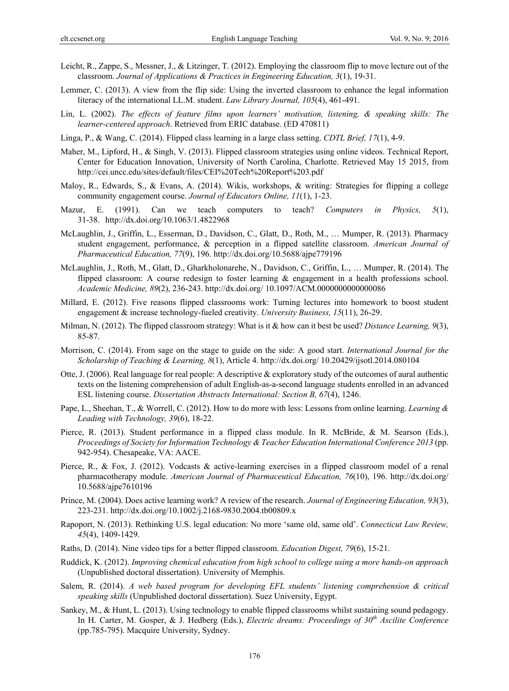- Leicht, R., Zappe, S., Messner, J., & Litzinger, T. (2012). Employing the classroom flip to move lecture out of the classroom. *Journal of Applications & Practices in Engineering Education, 3*(1), 19-31.
- Lemmer, C. (2013). A view from the flip side: Using the inverted classroom to enhance the legal information literacy of the international LL.M. student. *Law Library Journal, 105*(4), 461-491.
- Lin, L. (2002). *The effects of feature films upon learners' motivation, listening, & speaking skills: The learner-centered approach*. Retrieved from ERIC database. (ED 470811)
- Linga, P., & Wang, C. (2014). Flipped class learning in a large class setting. *CDTL Brief, 17*(1), 4-9.
- Maher, M., Lipford, H., & Singh, V. (2013). Flipped classroom strategies using online videos. Technical Report, Center for Education Innovation, University of North Carolina, Charlotte. Retrieved May 15 2015, from http://cei.uncc.edu/sites/default/files/CEI%20Tech%20Report%203.pdf
- Maloy, R., Edwards, S., & Evans, A. (2014). Wikis, workshops, & writing: Strategies for flipping a college community engagement course. *Journal of Educators Online, 11*(1), 1-23.
- Mazur, E. (1991). Can we teach computers to teach? *Computers in Physics, 5*(1), 31-38. http://dx.doi.org/10.1063/1.4822968
- McLaughlin, J., Griffin, L., Esserman, D., Davidson, C., Glatt, D., Roth, M., … Mumper, R. (2013). Pharmacy student engagement, performance, & perception in a flipped satellite classroom. *American Journal of Pharmaceutical Education, 77*(9), 196. http://dx.doi.org/10.5688/ajpe779196
- McLaughlin, J., Roth, M., Glatt, D., Gharkholonarehe, N., Davidson, C., Griffin, L., … Mumper, R. (2014). The flipped classroom: A course redesign to foster learning  $\&$  engagement in a health professions school. *Academic Medicine, 89*(2), 236-243. http://dx.doi.org/ 10.1097/ACM.0000000000000086
- Millard, E. (2012). Five reasons flipped classrooms work: Turning lectures into homework to boost student engagement & increase technology-fueled creativity. *University Business, 15*(11), 26-29.
- Milman, N. (2012). The flipped classroom strategy: What is it & how can it best be used? *Distance Learning, 9*(3), 85-87.
- Morrison, C. (2014). From sage on the stage to guide on the side: A good start. *International Journal for the Scholarship of Teaching & Learning, 8*(1), Article 4. http://dx.doi.org/ 10.20429/ijsotl.2014.080104
- Otte, J. (2006). Real language for real people: A descriptive & exploratory study of the outcomes of aural authentic texts on the listening comprehension of adult English-as-a-second language students enrolled in an advanced ESL listening course. *Dissertation Abstracts International: Section B, 67*(4), 1246.
- Pape, L., Sheehan, T., & Worrell, C. (2012). How to do more with less: Lessons from online learning. *Learning & Leading with Technology, 39*(6), 18-22.
- Pierce, R. (2013). Student performance in a flipped class module. In R. McBride, & M. Searson (Eds.), *Proceedings of Society for Information Technology & Teacher Education International Conference 2013* (pp. 942-954). Chesapeake, VA: AACE.
- Pierce, R., & Fox, J. (2012). Vodcasts & active-learning exercises in a flipped classroom model of a renal pharmacotherapy module. *American Journal of Pharmaceutical Education, 76*(10), 196. http://dx.doi.org/ 10.5688/ajpe7610196
- Prince, M. (2004). Does active learning work? A review of the research. *Journal of Engineering Education, 93*(3), 223-231. http://dx.doi.org/10.1002/j.2168-9830.2004.tb00809.x
- Rapoport, N. (2013). Rethinking U.S. legal education: No more 'same old, same old'. *Connecticut Law Review, 45*(4), 1409-1429.
- Raths, D. (2014). Nine video tips for a better flipped classroom. *Education Digest, 79*(6), 15-21.
- Ruddick, K. (2012). *Improving chemical education from high school to college using a more hands-on approach* (Unpublished doctoral dissertation). University of Memphis.
- Salem, R. (2014). *A web based program for developing EFL students' listening comprehension & critical speaking skills* (Unpublished doctoral dissertation). Suez University, Egypt.
- Sankey, M., & Hunt, L. (2013). Using technology to enable flipped classrooms whilst sustaining sound pedagogy. In H. Carter, M. Gosper, & J. Hedberg (Eds.), *Electric dreams: Proceedings of 30<sup>th</sup> Ascilite Conference* (pp.785-795). Macquire University, Sydney.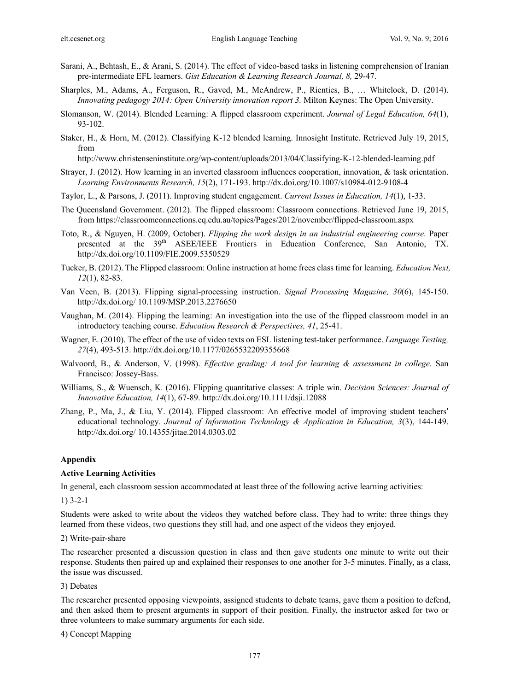- Sarani, A., Behtash, E., & Arani, S. (2014). The effect of video-based tasks in listening comprehension of Iranian pre-intermediate EFL learners. *Gist Education & Learning Research Journal, 8,* 29-47.
- Sharples, M., Adams, A., Ferguson, R., Gaved, M., McAndrew, P., Rienties, B., … Whitelock, D. (2014). *Innovating pedagogy 2014: Open University innovation report 3.* Milton Keynes: The Open University.
- Slomanson, W. (2014). Blended Learning: A flipped classroom experiment. *Journal of Legal Education, 64*(1), 93-102.
- Staker, H., & Horn, M. (2012). Classifying K-12 blended learning. Innosight Institute. Retrieved July 19, 2015, from

http://www.christenseninstitute.org/wp-content/uploads/2013/04/Classifying-K-12-blended-learning.pdf

- Strayer, J. (2012). How learning in an inverted classroom influences cooperation, innovation, & task orientation. *Learning Environments Research, 15*(2), 171-193. http://dx.doi.org/10.1007/s10984-012-9108-4
- Taylor, L., & Parsons, J. (2011). Improving student engagement. *Current Issues in Education, 14*(1), 1-33.
- The Queensland Government. (2012). The flipped classroom: Classroom connections. Retrieved June 19, 2015, from https://classroomconnections.eq.edu.au/topics/Pages/2012/november/flipped-classroom.aspx
- Toto, R., & Nguyen, H. (2009, October). *Flipping the work design in an industrial engineering course*. Paper presented at the 39<sup>th</sup> ASEE/IEEE Frontiers in Education Conference, San Antonio, TX. http://dx.doi.org/10.1109/FIE.2009.5350529
- Tucker, B. (2012). The Flipped classroom: Online instruction at home frees class time for learning. *Education Next, 12*(1), 82-83.
- Van Veen, B. (2013). Flipping signal-processing instruction. *Signal Processing Magazine, 30*(6), 145-150. http://dx.doi.org/ 10.1109/MSP.2013.2276650
- Vaughan, M. (2014). Flipping the learning: An investigation into the use of the flipped classroom model in an introductory teaching course. *Education Research & Perspectives, 41*, 25-41.
- Wagner, E. (2010). The effect of the use of video texts on ESL listening test-taker performance. *Language Testing, 27*(4), 493-513. http://dx.doi.org/10.1177/0265532209355668
- Walvoord, B., & Anderson, V. (1998). *Effective grading: A tool for learning & assessment in college.* San Francisco: Jossey-Bass.
- Williams, S., & Wuensch, K. (2016). Flipping quantitative classes: A triple win. *Decision Sciences: Journal of Innovative Education, 14*(1), 67-89. http://dx.doi.org/10.1111/dsji.12088
- Zhang, P., Ma, J., & Liu, Y. (2014). Flipped classroom: An effective model of improving student teachers' educational technology. *Journal of Information Technology & Application in Education, 3*(3), 144-149. http://dx.doi.org/ 10.14355/jitae.2014.0303.02

#### **Appendix**

#### **Active Learning Activities**

In general, each classroom session accommodated at least three of the following active learning activities:

1) 3-2-1

Students were asked to write about the videos they watched before class. They had to write: three things they learned from these videos, two questions they still had, and one aspect of the videos they enjoyed.

#### 2) Write-pair-share

The researcher presented a discussion question in class and then gave students one minute to write out their response. Students then paired up and explained their responses to one another for 3-5 minutes. Finally, as a class, the issue was discussed.

#### 3) Debates

The researcher presented opposing viewpoints, assigned students to debate teams, gave them a position to defend, and then asked them to present arguments in support of their position. Finally, the instructor asked for two or three volunteers to make summary arguments for each side.

4) Concept Mapping